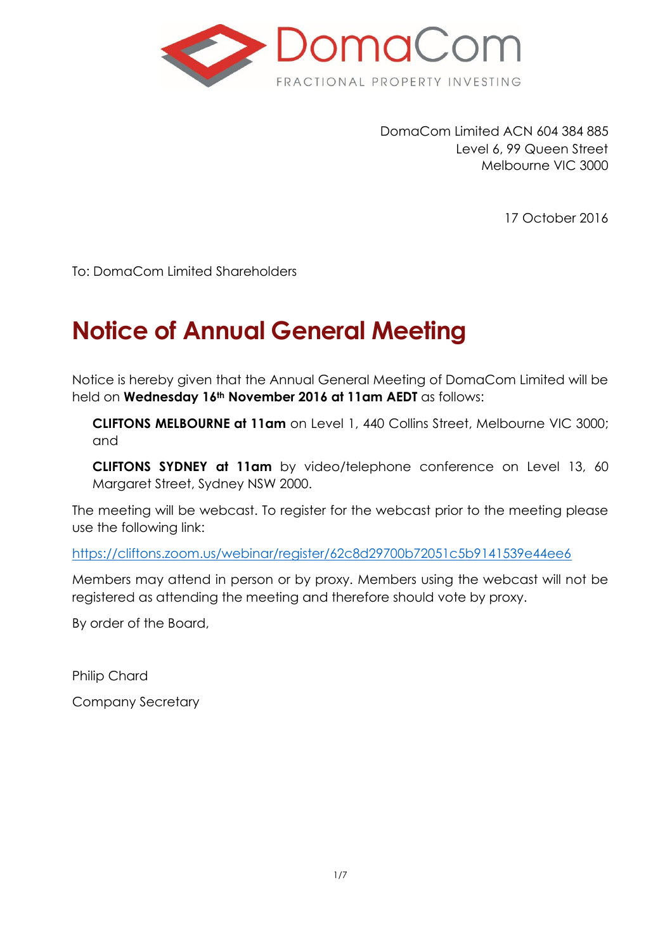

DomaCom Limited ACN 604 384 885 Level 6, 99 Queen Street Melbourne VIC 3000

17 October 2016

To: DomaCom Limited Shareholders

# **Notice of Annual General Meeting**

Notice is hereby given that the Annual General Meeting of DomaCom Limited will be held on **Wednesday 16th November 2016 at 11am AEDT** as follows:

**CLIFTONS MELBOURNE at 11am** on Level 1, 440 Collins Street, Melbourne VIC 3000; and

**CLIFTONS SYDNEY at 11am** by video/telephone conference on Level 13, 60 Margaret Street, Sydney NSW 2000.

The meeting will be webcast. To register for the webcast prior to the meeting please use the following link:

<https://cliftons.zoom.us/webinar/register/62c8d29700b72051c5b9141539e44ee6>

Members may attend in person or by proxy. Members using the webcast will not be registered as attending the meeting and therefore should vote by proxy.

By order of the Board,

Philip Chard

Company Secretary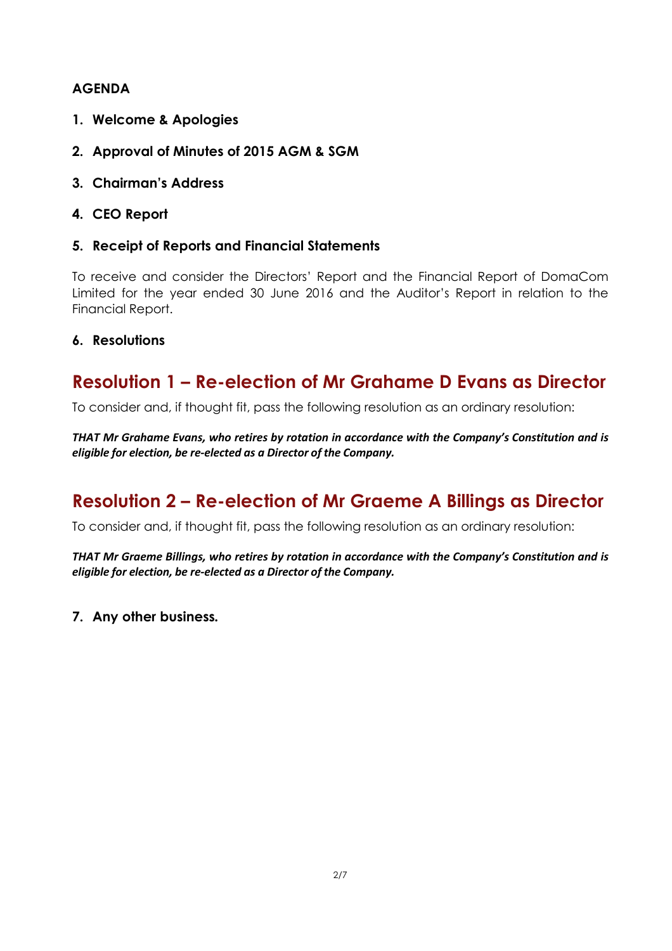### **AGENDA**

- **1. Welcome & Apologies**
- **2. Approval of Minutes of 2015 AGM & SGM**
- **3. Chairman's Address**
- **4. CEO Report**
- **5. Receipt of Reports and Financial Statements**

To receive and consider the Directors' Report and the Financial Report of DomaCom Limited for the year ended 30 June 2016 and the Auditor's Report in relation to the Financial Report.

#### **6. Resolutions**

### **Resolution 1 – Re-election of Mr Grahame D Evans as Director**

To consider and, if thought fit, pass the following resolution as an ordinary resolution:

*THAT Mr Grahame Evans, who retires by rotation in accordance with the Company's Constitution and is eligible for election, be re-elected as a Director of the Company.*

## **Resolution 2 – Re-election of Mr Graeme A Billings as Director**

To consider and, if thought fit, pass the following resolution as an ordinary resolution:

*THAT Mr Graeme Billings, who retires by rotation in accordance with the Company's Constitution and is eligible for election, be re-elected as a Director of the Company.*

**7. Any other business***.*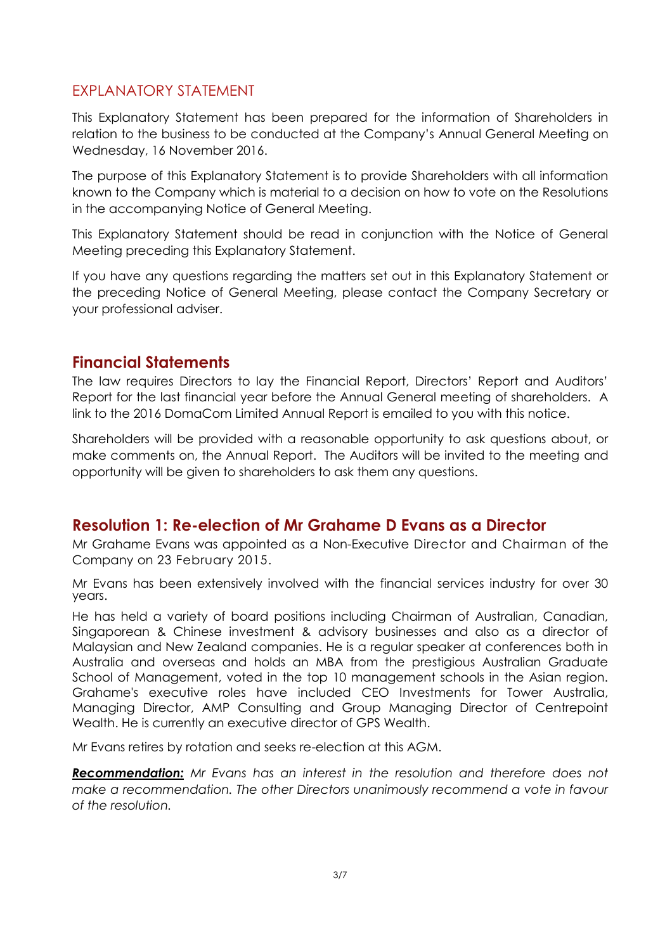### EXPLANATORY STATEMENT

This Explanatory Statement has been prepared for the information of Shareholders in relation to the business to be conducted at the Company's Annual General Meeting on Wednesday, 16 November 2016.

The purpose of this Explanatory Statement is to provide Shareholders with all information known to the Company which is material to a decision on how to vote on the Resolutions in the accompanying Notice of General Meeting.

This Explanatory Statement should be read in conjunction with the Notice of General Meeting preceding this Explanatory Statement.

If you have any questions regarding the matters set out in this Explanatory Statement or the preceding Notice of General Meeting, please contact the Company Secretary or your professional adviser.

### **Financial Statements**

The law requires Directors to lay the Financial Report, Directors' Report and Auditors' Report for the last financial year before the Annual General meeting of shareholders. A link to the 2016 DomaCom Limited Annual Report is emailed to you with this notice.

Shareholders will be provided with a reasonable opportunity to ask questions about, or make comments on, the Annual Report. The Auditors will be invited to the meeting and opportunity will be given to shareholders to ask them any questions.

### **Resolution 1: Re-election of Mr Grahame D Evans as a Director**

Mr Grahame Evans was appointed as a Non-Executive Director and Chairman of the Company on 23 February 2015.

Mr Evans has been extensively involved with the financial services industry for over 30 years.

He has held a variety of board positions including Chairman of Australian, Canadian, Singaporean & Chinese investment & advisory businesses and also as a director of Malaysian and New Zealand companies. He is a regular speaker at conferences both in Australia and overseas and holds an MBA from the prestigious Australian Graduate School of Management, voted in the top 10 management schools in the Asian region. Grahame's executive roles have included CEO Investments for Tower Australia, Managing Director, AMP Consulting and Group Managing Director of Centrepoint Wealth. He is currently an executive director of GPS Wealth.

Mr Evans retires by rotation and seeks re-election at this AGM.

*Recommendation: Mr Evans has an interest in the resolution and therefore does not make a recommendation. The other Directors unanimously recommend a vote in favour of the resolution.*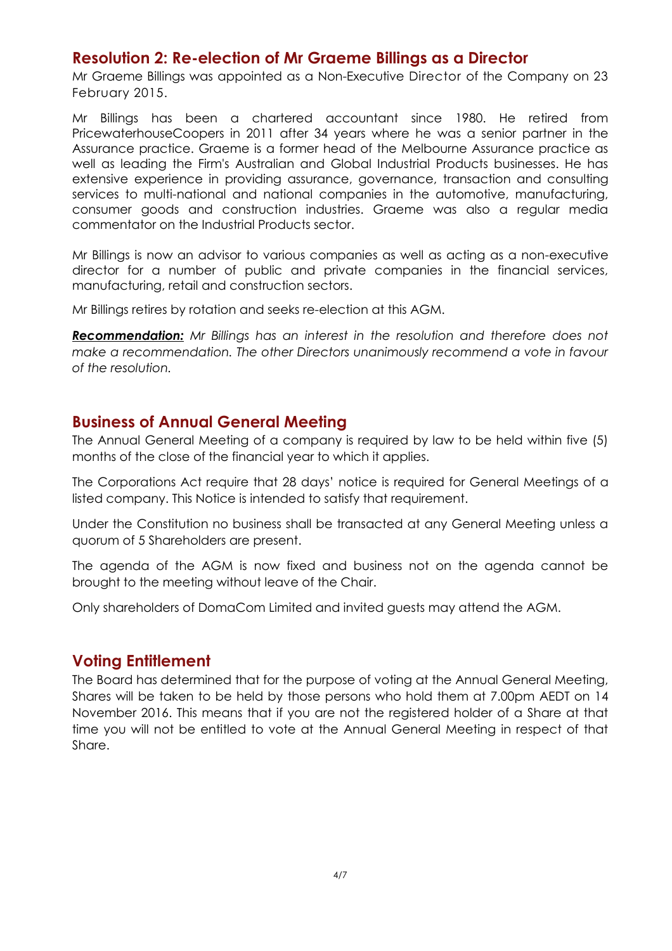### **Resolution 2: Re-election of Mr Graeme Billings as a Director**

Mr Graeme Billings was appointed as a Non-Executive Director of the Company on 23 February 2015.

Mr Billings has been a chartered accountant since 1980. He retired from PricewaterhouseCoopers in 2011 after 34 years where he was a senior partner in the Assurance practice. Graeme is a former head of the Melbourne Assurance practice as well as leading the Firm's Australian and Global Industrial Products businesses. He has extensive experience in providing assurance, governance, transaction and consulting services to multi-national and national companies in the automotive, manufacturing, consumer goods and construction industries. Graeme was also a regular media commentator on the Industrial Products sector.

Mr Billings is now an advisor to various companies as well as acting as a non-executive director for a number of public and private companies in the financial services, manufacturing, retail and construction sectors.

Mr Billings retires by rotation and seeks re-election at this AGM.

*Recommendation: Mr Billings has an interest in the resolution and therefore does not*  make a recommendation. The other Directors unanimously recommend a vote in favour *of the resolution.*

#### **Business of Annual General Meeting**

The Annual General Meeting of a company is required by law to be held within five (5) months of the close of the financial year to which it applies.

The Corporations Act require that 28 days' notice is required for General Meetings of a listed company. This Notice is intended to satisfy that requirement.

Under the Constitution no business shall be transacted at any General Meeting unless a quorum of 5 Shareholders are present.

The agenda of the AGM is now fixed and business not on the agenda cannot be brought to the meeting without leave of the Chair.

Only shareholders of DomaCom Limited and invited guests may attend the AGM.

### **Voting Entitlement**

The Board has determined that for the purpose of voting at the Annual General Meeting, Shares will be taken to be held by those persons who hold them at 7.00pm AEDT on 14 November 2016. This means that if you are not the registered holder of a Share at that time you will not be entitled to vote at the Annual General Meeting in respect of that Share.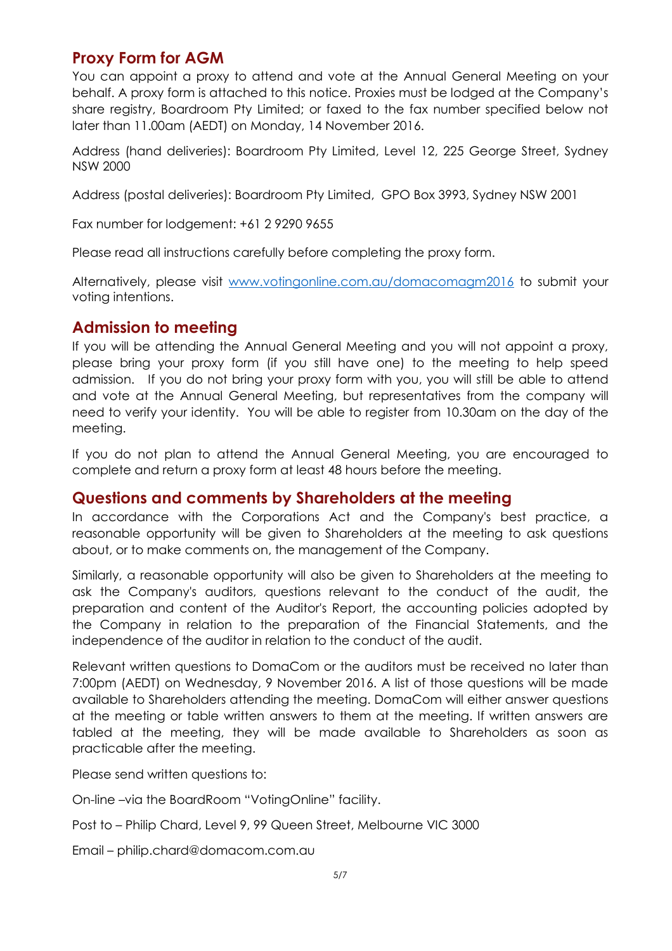### **Proxy Form for AGM**

You can appoint a proxy to attend and vote at the Annual General Meeting on your behalf. A proxy form is attached to this notice. Proxies must be lodged at the Company's share registry, Boardroom Pty Limited; or faxed to the fax number specified below not later than 11.00am (AEDT) on Monday, 14 November 2016.

Address (hand deliveries): Boardroom Pty Limited, Level 12, 225 George Street, Sydney NSW 2000

Address (postal deliveries): Boardroom Pty Limited, GPO Box 3993, Sydney NSW 2001

Fax number for lodgement: +61 2 9290 9655

Please read all instructions carefully before completing the proxy form.

Alternatively, please visit [www.votingonline.com.au/domacomagm2016](http://www.votingonline.com.au/domacomagm2016) to submit your voting intentions.

### **Admission to meeting**

If you will be attending the Annual General Meeting and you will not appoint a proxy, please bring your proxy form (if you still have one) to the meeting to help speed admission. If you do not bring your proxy form with you, you will still be able to attend and vote at the Annual General Meeting, but representatives from the company will need to verify your identity. You will be able to register from 10.30am on the day of the meeting.

If you do not plan to attend the Annual General Meeting, you are encouraged to complete and return a proxy form at least 48 hours before the meeting.

#### **Questions and comments by Shareholders at the meeting**

In accordance with the Corporations Act and the Company's best practice, a reasonable opportunity will be given to Shareholders at the meeting to ask questions about, or to make comments on, the management of the Company.

Similarly, a reasonable opportunity will also be given to Shareholders at the meeting to ask the Company's auditors, questions relevant to the conduct of the audit, the preparation and content of the Auditor's Report, the accounting policies adopted by the Company in relation to the preparation of the Financial Statements, and the independence of the auditor in relation to the conduct of the audit.

Relevant written questions to DomaCom or the auditors must be received no later than 7:00pm (AEDT) on Wednesday, 9 November 2016. A list of those questions will be made available to Shareholders attending the meeting. DomaCom will either answer questions at the meeting or table written answers to them at the meeting. If written answers are tabled at the meeting, they will be made available to Shareholders as soon as practicable after the meeting.

Please send written questions to:

On-line –via the BoardRoom "VotingOnline" facility.

- Post to Philip Chard, Level 9, 99 Queen Street, Melbourne VIC 3000
- Email philip.chard@domacom.com.au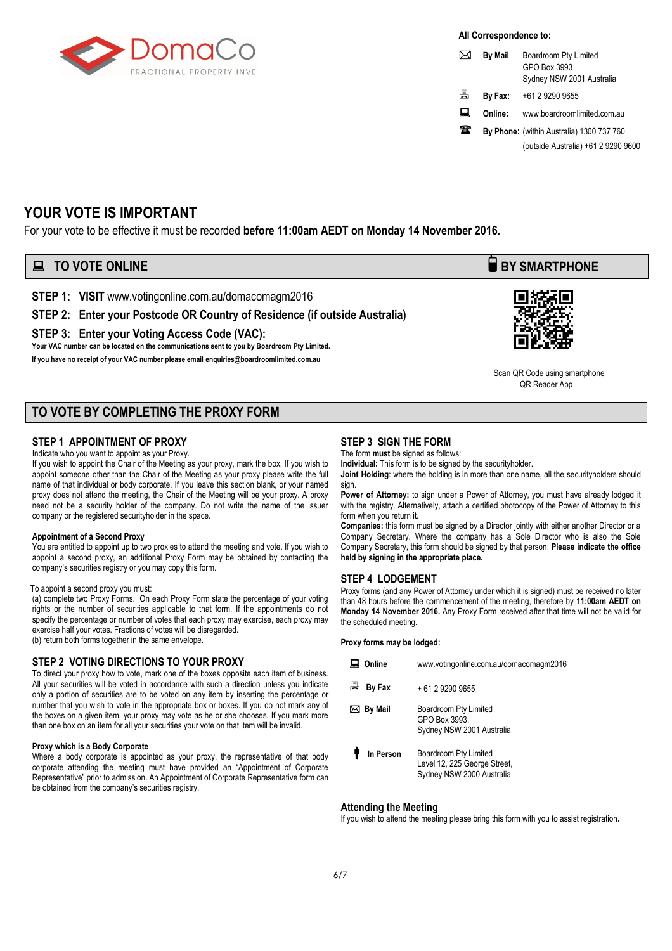

#### **All Correspondence to:**

|   | <b>By Mail</b> | Boardroom Pty Limited<br>GPO Box 3993<br>Sydney NSW 2001 Australia |
|---|----------------|--------------------------------------------------------------------|
| 昌 | By Fax:        | +61 2 9290 9655                                                    |
| 口 | Online:        | www.boardroomlimited.com.au                                        |
| 拿 |                | By Phone: (within Australia) 1300 737 760                          |
|   |                | (outside Australia) +61 2 9290 9600                                |

#### **YOUR VOTE IS IMPORTANT**

For your vote to be effective it must be recorded **before 11:00am AEDT on Monday 14 November 2016.** 

### **EXECUTE ONLINE BY SMARTPHONE**

**STEP 1: VISIT** www.votingonline.com.au/domacomagm2016

#### **STEP 2: Enter your Postcode OR Country of Residence (if outside Australia)**

**STEP 3: Enter your Voting Access Code (VAC):**

**Your VAC number can be located on the communications sent to you by Boardroom Pty Limited.** 

**If you have no receipt of your VAC number please emai[l enquiries@boardroomlimited.com.au](mailto:enquiries@boardroomlimited.com.au)**

#### **TO VOTE BY COMPLETING THE PROXY FORM**

#### **STEP 1 APPOINTMENT OF PROXY**

Indicate who you want to appoint as your Proxy.

If you wish to appoint the Chair of the Meeting as your proxy, mark the box. If you wish to appoint someone other than the Chair of the Meeting as your proxy please write the full name of that individual or body corporate. If you leave this section blank, or your named proxy does not attend the meeting, the Chair of the Meeting will be your proxy. A proxy need not be a security holder of the company. Do not write the name of the issuer company or the registered securityholder in the space.

#### **Appointment of a Second Proxy**

You are entitled to appoint up to two proxies to attend the meeting and vote. If you wish to appoint a second proxy, an additional Proxy Form may be obtained by contacting the company's securities registry or you may copy this form.

#### To appoint a second proxy you must:

(a) complete two Proxy Forms. On each Proxy Form state the percentage of your voting rights or the number of securities applicable to that form. If the appointments do not specify the percentage or number of votes that each proxy may exercise, each proxy may exercise half your votes. Fractions of votes will be disregarded.

(b) return both forms together in the same envelope.

#### **STEP 2 VOTING DIRECTIONS TO YOUR PROXY**

To direct your proxy how to vote, mark one of the boxes opposite each item of business. All your securities will be voted in accordance with such a direction unless you indicate only a portion of securities are to be voted on any item by inserting the percentage or number that you wish to vote in the appropriate box or boxes. If you do not mark any of the boxes on a given item, your proxy may vote as he or she chooses. If you mark more than one box on an item for all your securities your vote on that item will be invalid.

#### **Proxy which is a Body Corporate**

Where a body corporate is appointed as your proxy, the representative of that body corporate attending the meeting must have provided an "Appointment of Corporate Representative" prior to admission. An Appointment of Corporate Representative form can be obtained from the company's securities registry.

#### **STEP 3 SIGN THE FORM**

The form **must** be signed as follows:

**Individual:** This form is to be signed by the securityholder.

**Joint Holding**: where the holding is in more than one name, all the securityholders should sign.

Power of Attorney: to sign under a Power of Attorney, you must have already lodged it with the registry. Alternatively, attach a certified photocopy of the Power of Attorney to this form when you return it.

**Companies:** this form must be signed by a Director jointly with either another Director or a Company Secretary. Where the company has a Sole Director who is also the Sole Company Secretary, this form should be signed by that person. **Please indicate the office held by signing in the appropriate place.**

#### **STEP 4 LODGEMENT**

Proxy forms (and any Power of Attorney under which it is signed) must be received no later than 48 hours before the commencement of the meeting, therefore by **11:00am AEDT on Monday 14 November 2016.** Any Proxy Form received after that time will not be valid for the scheduled meeting.

**Proxy forms may be lodged:**

| Online            | www.votingonline.com.au/domacomagm2016                                             |
|-------------------|------------------------------------------------------------------------------------|
| 昌<br>By Fax       | + 61 2 9290 9655                                                                   |
| $\bowtie$ By Mail | Boardroom Pty Limited<br>GPO Box 3993.<br>Sydney NSW 2001 Australia                |
| In Person         | Boardroom Pty Limited<br>Level 12, 225 George Street,<br>Sydney NSW 2000 Australia |

#### **Attending the Meeting**

If you wish to attend the meeting please bring this form with you to assist registration**.**



 Scan QR Code using smartphone OR Reader App